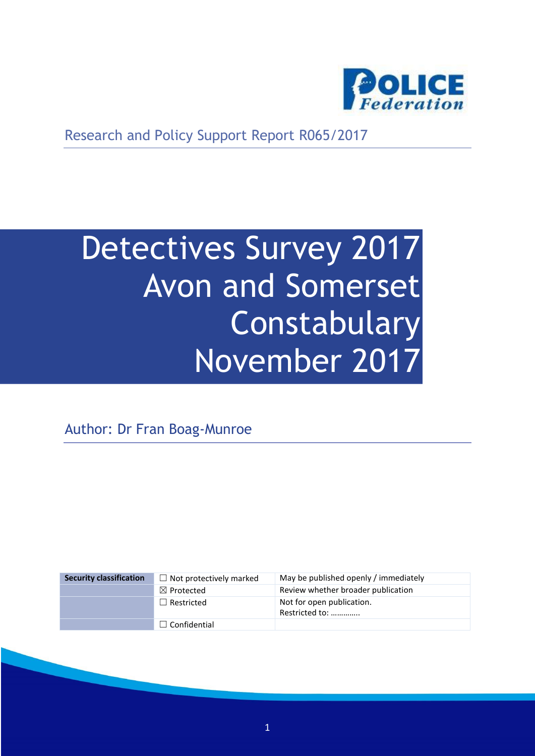

Research and Policy Support Report R065/2017

# Detectives Survey 2017 Avon and Somerset **Constabulary** November 2017

Author: Dr Fran Boag-Munroe

| <b>Security classification</b> | $\Box$ Not protectively marked | May be published openly / immediately       |
|--------------------------------|--------------------------------|---------------------------------------------|
|                                | $\boxtimes$ Protected          | Review whether broader publication          |
|                                | $\Box$ Restricted              | Not for open publication.<br>Restricted to: |
|                                | $\Box$ Confidential            |                                             |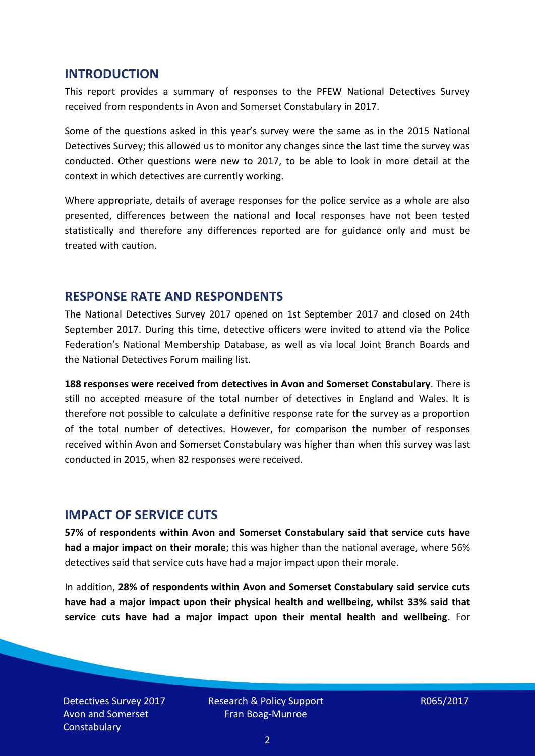#### **INTRODUCTION**

This report provides a summary of responses to the PFEW National Detectives Survey received from respondents in Avon and Somerset Constabulary in 2017.

Some of the questions asked in this year's survey were the same as in the 2015 National Detectives Survey; this allowed us to monitor any changes since the last time the survey was conducted. Other questions were new to 2017, to be able to look in more detail at the context in which detectives are currently working.

Where appropriate, details of average responses for the police service as a whole are also presented, differences between the national and local responses have not been tested statistically and therefore any differences reported are for guidance only and must be treated with caution.

#### **RESPONSE RATE AND RESPONDENTS**

The National Detectives Survey 2017 opened on 1st September 2017 and closed on 24th September 2017. During this time, detective officers were invited to attend via the Police Federation's National Membership Database, as well as via local Joint Branch Boards and the National Detectives Forum mailing list.

**188 responses were received from detectives in Avon and Somerset Constabulary**. There is still no accepted measure of the total number of detectives in England and Wales. It is therefore not possible to calculate a definitive response rate for the survey as a proportion of the total number of detectives. However, for comparison the number of responses received within Avon and Somerset Constabulary was higher than when this survey was last conducted in 2015, when 82 responses were received.

#### **IMPACT OF SERVICE CUTS**

**57% of respondents within Avon and Somerset Constabulary said that service cuts have had a major impact on their morale**; this was higher than the national average, where 56% detectives said that service cuts have had a major impact upon their morale.

In addition, **28% of respondents within Avon and Somerset Constabulary said service cuts have had a major impact upon their physical health and wellbeing, whilst 33% said that service cuts have had a major impact upon their mental health and wellbeing**. For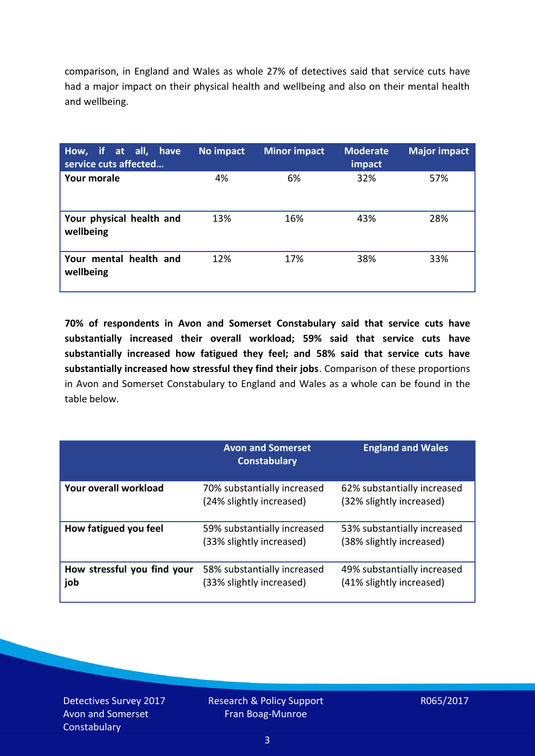comparison, in England and Wales as whole 27% of detectives said that service cuts have had a major impact on their physical health and wellbeing and also on their mental health and wellbeing.

| How, if at all, have<br>service cuts affected | No impact | <b>Minor impact</b> | <b>Moderate</b><br>impact | <b>Major impact</b> |
|-----------------------------------------------|-----------|---------------------|---------------------------|---------------------|
| Your morale                                   | 4%        | 6%                  | 32%                       | 57%                 |
| Your physical health and<br>wellbeing         | 13%       | 16%                 | 43%                       | 28%                 |
| Your mental health and<br>wellbeing           | 12%       | 17%                 | 38%                       | 33%                 |

**70% of respondents in Avon and Somerset Constabulary said that service cuts have substantially increased their overall workload; 59% said that service cuts have substantially increased how fatigued they feel; and 58% said that service cuts have substantially increased how stressful they find their jobs**. Comparison of these proportions in Avon and Somerset Constabulary to England and Wales as a whole can be found in the table below.

|                                    | <b>Avon and Somerset</b><br><b>Constabulary</b>         | <b>England and Wales</b>                                |
|------------------------------------|---------------------------------------------------------|---------------------------------------------------------|
| Your overall workload              | 70% substantially increased<br>(24% slightly increased) | 62% substantially increased<br>(32% slightly increased) |
| How fatigued you feel              | 59% substantially increased<br>(33% slightly increased) | 53% substantially increased<br>(38% slightly increased) |
| How stressful you find your<br>job | 58% substantially increased<br>(33% slightly increased) | 49% substantially increased<br>(41% slightly increased) |

Detectives Survey 2017 Avon and Somerset **Constabulary**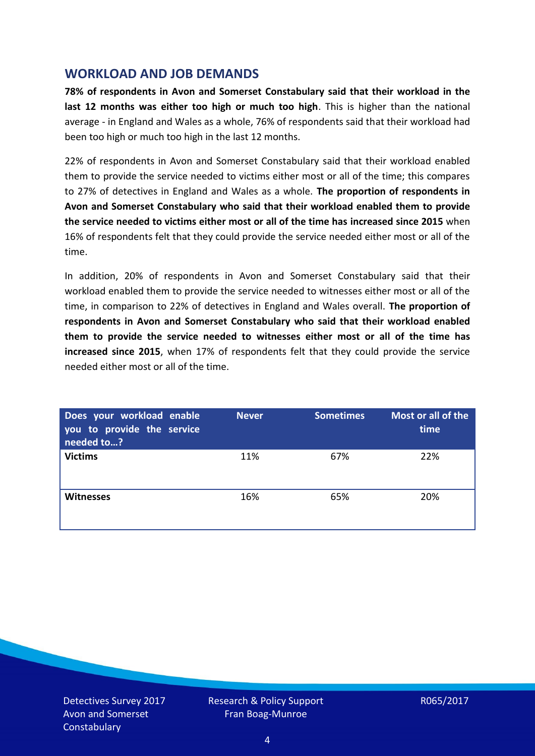## **WORKLOAD AND JOB DEMANDS**

**78% of respondents in Avon and Somerset Constabulary said that their workload in the last 12 months was either too high or much too high**. This is higher than the national average - in England and Wales as a whole, 76% of respondents said that their workload had been too high or much too high in the last 12 months.

22% of respondents in Avon and Somerset Constabulary said that their workload enabled them to provide the service needed to victims either most or all of the time; this compares to 27% of detectives in England and Wales as a whole. **The proportion of respondents in Avon and Somerset Constabulary who said that their workload enabled them to provide the service needed to victims either most or all of the time has increased since 2015** when 16% of respondents felt that they could provide the service needed either most or all of the time.

In addition, 20% of respondents in Avon and Somerset Constabulary said that their workload enabled them to provide the service needed to witnesses either most or all of the time, in comparison to 22% of detectives in England and Wales overall. **The proportion of respondents in Avon and Somerset Constabulary who said that their workload enabled them to provide the service needed to witnesses either most or all of the time has increased since 2015**, when 17% of respondents felt that they could provide the service needed either most or all of the time.

| Does your workload enable<br>you to provide the service<br>needed to? | <b>Never</b> | <b>Sometimes</b> | Most or all of the<br>time |
|-----------------------------------------------------------------------|--------------|------------------|----------------------------|
| <b>Victims</b>                                                        | 11%          | 67%              | 22%                        |
| <b>Witnesses</b>                                                      | 16%          | 65%              | 20%                        |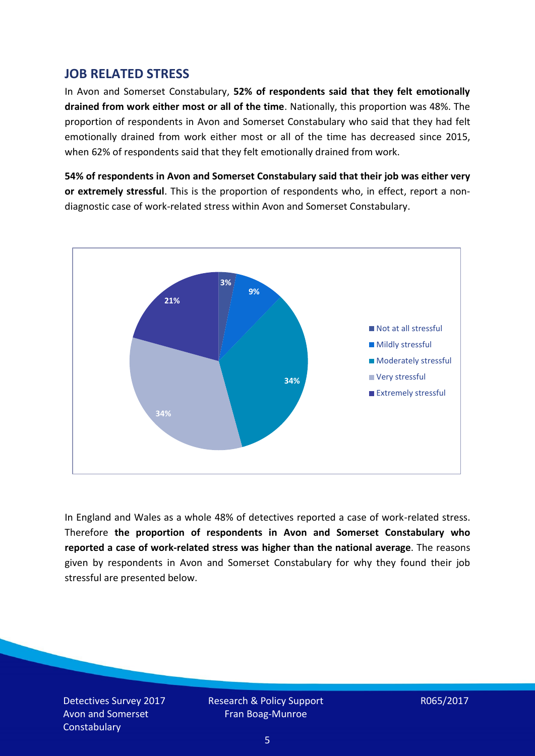### **JOB RELATED STRESS**

In Avon and Somerset Constabulary, **52% of respondents said that they felt emotionally drained from work either most or all of the time**. Nationally, this proportion was 48%. The proportion of respondents in Avon and Somerset Constabulary who said that they had felt emotionally drained from work either most or all of the time has decreased since 2015, when 62% of respondents said that they felt emotionally drained from work.

**54% of respondents in Avon and Somerset Constabulary said that their job was either very or extremely stressful**. This is the proportion of respondents who, in effect, report a nondiagnostic case of work-related stress within Avon and Somerset Constabulary.



In England and Wales as a whole 48% of detectives reported a case of work-related stress. Therefore **the proportion of respondents in Avon and Somerset Constabulary who reported a case of work-related stress was higher than the national average**. The reasons given by respondents in Avon and Somerset Constabulary for why they found their job stressful are presented below.

Detectives Survey 2017 Avon and Somerset **Constabulary**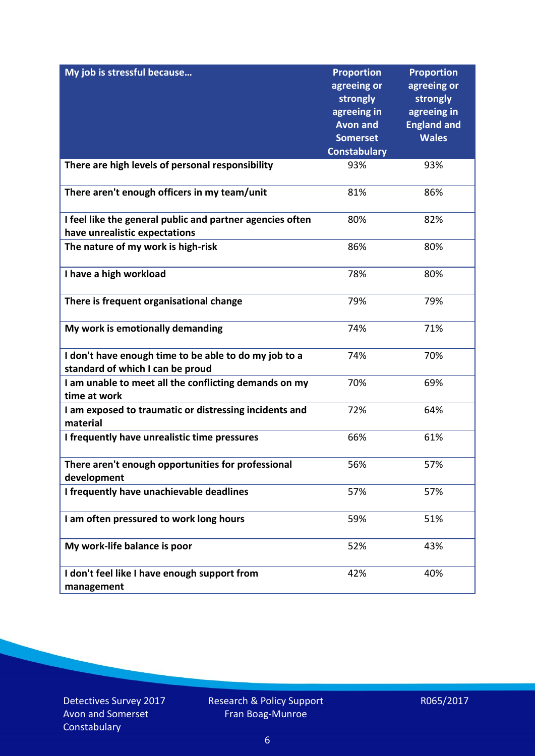| My job is stressful because                                                                | <b>Proportion</b><br>agreeing or<br>strongly<br>agreeing in<br><b>Avon and</b><br><b>Somerset</b><br><b>Constabulary</b> | <b>Proportion</b><br>agreeing or<br>strongly<br>agreeing in<br><b>England and</b><br><b>Wales</b> |
|--------------------------------------------------------------------------------------------|--------------------------------------------------------------------------------------------------------------------------|---------------------------------------------------------------------------------------------------|
| There are high levels of personal responsibility                                           | 93%                                                                                                                      | 93%                                                                                               |
| There aren't enough officers in my team/unit                                               | 81%                                                                                                                      | 86%                                                                                               |
| I feel like the general public and partner agencies often<br>have unrealistic expectations | 80%                                                                                                                      | 82%                                                                                               |
| The nature of my work is high-risk                                                         | 86%                                                                                                                      | 80%                                                                                               |
| I have a high workload                                                                     | 78%                                                                                                                      | 80%                                                                                               |
| There is frequent organisational change                                                    | 79%                                                                                                                      | 79%                                                                                               |
| My work is emotionally demanding                                                           | 74%                                                                                                                      | 71%                                                                                               |
| I don't have enough time to be able to do my job to a<br>standard of which I can be proud  | 74%                                                                                                                      | 70%                                                                                               |
| I am unable to meet all the conflicting demands on my<br>time at work                      | 70%                                                                                                                      | 69%                                                                                               |
| I am exposed to traumatic or distressing incidents and<br>material                         | 72%                                                                                                                      | 64%                                                                                               |
| I frequently have unrealistic time pressures                                               | 66%                                                                                                                      | 61%                                                                                               |
| There aren't enough opportunities for professional<br>development                          | 56%                                                                                                                      | 57%                                                                                               |
| I frequently have unachievable deadlines                                                   | 57%                                                                                                                      | 57%                                                                                               |
| I am often pressured to work long hours                                                    | 59%                                                                                                                      | 51%                                                                                               |
| My work-life balance is poor                                                               | 52%                                                                                                                      | 43%                                                                                               |
| I don't feel like I have enough support from<br>management                                 | 42%                                                                                                                      | 40%                                                                                               |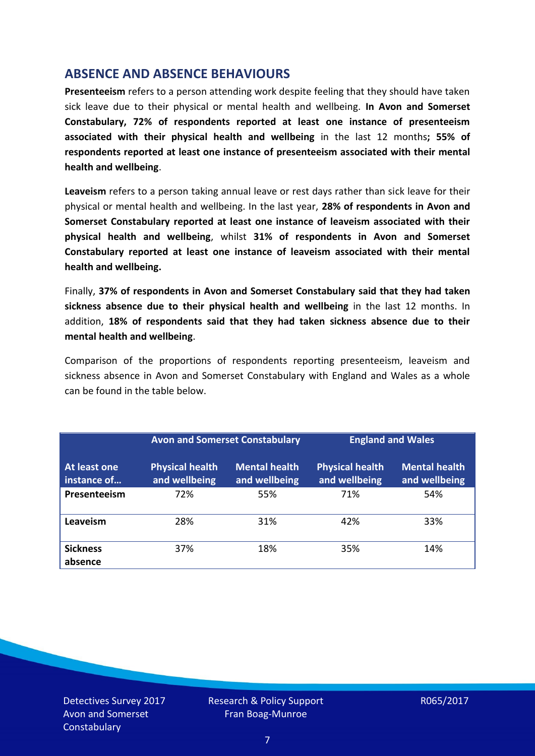### **ABSENCE AND ABSENCE BEHAVIOURS**

**Presenteeism** refers to a person attending work despite feeling that they should have taken sick leave due to their physical or mental health and wellbeing. **In Avon and Somerset Constabulary, 72% of respondents reported at least one instance of presenteeism associated with their physical health and wellbeing** in the last 12 months**; 55% of respondents reported at least one instance of presenteeism associated with their mental health and wellbeing**.

**Leaveism** refers to a person taking annual leave or rest days rather than sick leave for their physical or mental health and wellbeing. In the last year, **28% of respondents in Avon and Somerset Constabulary reported at least one instance of leaveism associated with their physical health and wellbeing**, whilst **31% of respondents in Avon and Somerset Constabulary reported at least one instance of leaveism associated with their mental health and wellbeing.**

Finally, **37% of respondents in Avon and Somerset Constabulary said that they had taken sickness absence due to their physical health and wellbeing** in the last 12 months. In addition, **18% of respondents said that they had taken sickness absence due to their mental health and wellbeing**.

Comparison of the proportions of respondents reporting presenteeism, leaveism and sickness absence in Avon and Somerset Constabulary with England and Wales as a whole can be found in the table below.

|                             | <b>Avon and Somerset Constabulary</b>   |                                       | <b>England and Wales</b>                |                                       |
|-----------------------------|-----------------------------------------|---------------------------------------|-----------------------------------------|---------------------------------------|
| At least one<br>instance of | <b>Physical health</b><br>and wellbeing | <b>Mental health</b><br>and wellbeing | <b>Physical health</b><br>and wellbeing | <b>Mental health</b><br>and wellbeing |
| Presenteeism                | 72%                                     | 55%                                   | 71%                                     | 54%                                   |
| <b>Leaveism</b>             | 28%                                     | 31%                                   | 42%                                     | 33%                                   |
| <b>Sickness</b><br>absence  | 37%                                     | 18%                                   | 35%                                     | 14%                                   |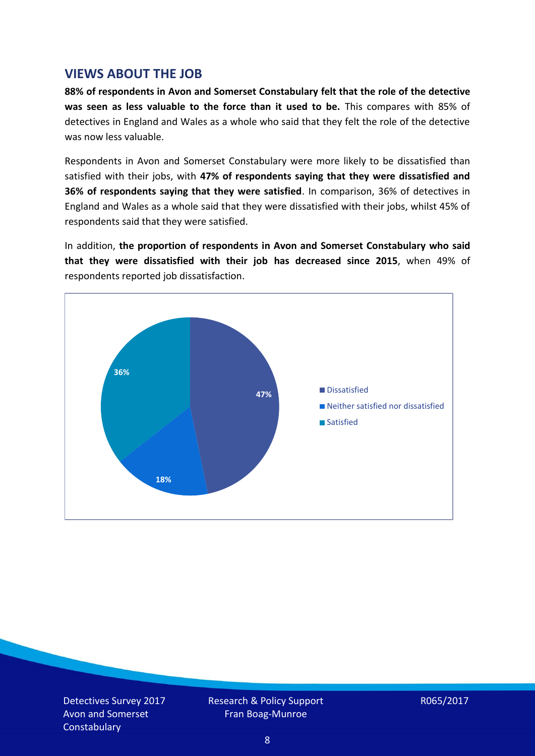### **VIEWS ABOUT THE JOB**

**88% of respondents in Avon and Somerset Constabulary felt that the role of the detective was seen as less valuable to the force than it used to be.** This compares with 85% of detectives in England and Wales as a whole who said that they felt the role of the detective was now less valuable.

Respondents in Avon and Somerset Constabulary were more likely to be dissatisfied than satisfied with their jobs, with **47% of respondents saying that they were dissatisfied and 36% of respondents saying that they were satisfied**. In comparison, 36% of detectives in England and Wales as a whole said that they were dissatisfied with their jobs, whilst 45% of respondents said that they were satisfied.

In addition, **the proportion of respondents in Avon and Somerset Constabulary who said that they were dissatisfied with their job has decreased since 2015**, when 49% of respondents reported job dissatisfaction.

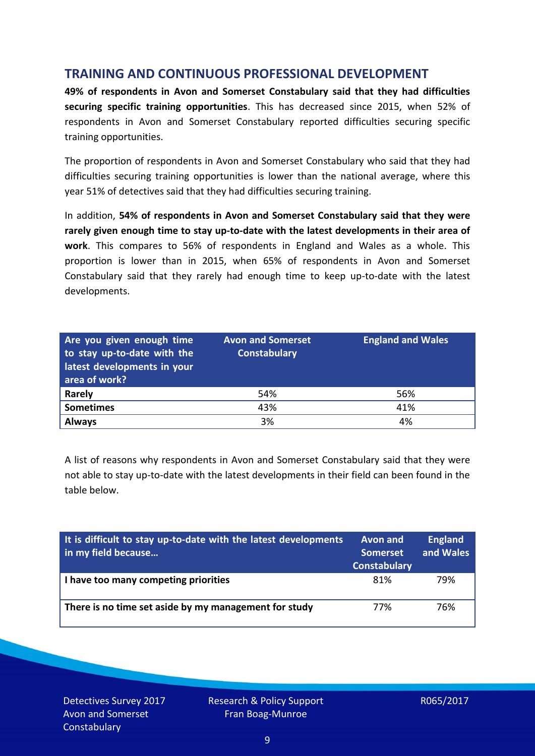## **TRAINING AND CONTINUOUS PROFESSIONAL DEVELOPMENT**

**49% of respondents in Avon and Somerset Constabulary said that they had difficulties securing specific training opportunities**. This has decreased since 2015, when 52% of respondents in Avon and Somerset Constabulary reported difficulties securing specific training opportunities.

The proportion of respondents in Avon and Somerset Constabulary who said that they had difficulties securing training opportunities is lower than the national average, where this year 51% of detectives said that they had difficulties securing training.

In addition, **54% of respondents in Avon and Somerset Constabulary said that they were rarely given enough time to stay up-to-date with the latest developments in their area of work**. This compares to 56% of respondents in England and Wales as a whole. This proportion is lower than in 2015, when 65% of respondents in Avon and Somerset Constabulary said that they rarely had enough time to keep up-to-date with the latest developments.

| Are you given enough time<br>to stay up-to-date with the<br>latest developments in your<br>area of work? | <b>Avon and Somerset</b><br><b>Constabulary</b> | <b>England and Wales</b> |
|----------------------------------------------------------------------------------------------------------|-------------------------------------------------|--------------------------|
| <b>Rarely</b>                                                                                            | 54%                                             | 56%                      |
| <b>Sometimes</b>                                                                                         | 43%                                             | 41%                      |
| <b>Always</b>                                                                                            | 3%                                              | 4%                       |

A list of reasons why respondents in Avon and Somerset Constabulary said that they were not able to stay up-to-date with the latest developments in their field can been found in the table below.

| It is difficult to stay up-to-date with the latest developments<br>in my field because | <b>Avon and</b><br>Somerset<br><b>Constabulary</b> | <b>England</b><br>and Wales |
|----------------------------------------------------------------------------------------|----------------------------------------------------|-----------------------------|
| I have too many competing priorities                                                   | 81%                                                | 79%                         |
| There is no time set aside by my management for study                                  | 77%                                                | 76%                         |

Detectives Survey 2017 Avon and Somerset **Constabulary**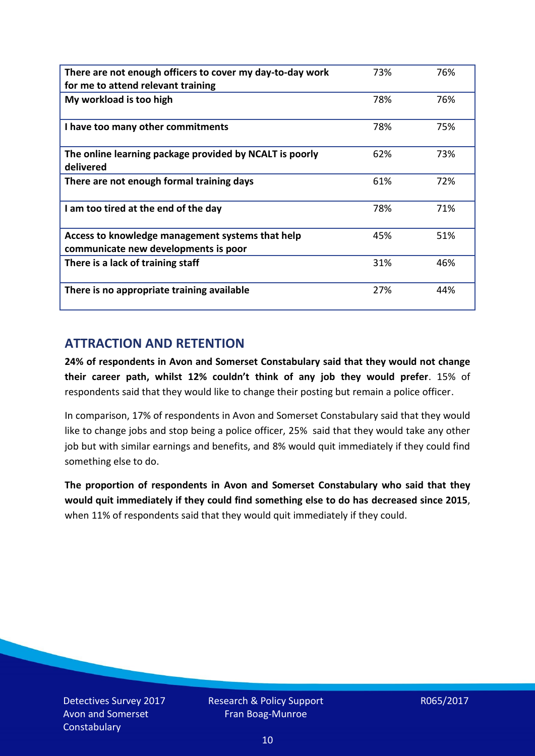| There are not enough officers to cover my day-to-day work<br>for me to attend relevant training | 73% | 76% |
|-------------------------------------------------------------------------------------------------|-----|-----|
| My workload is too high                                                                         | 78% | 76% |
| I have too many other commitments                                                               | 78% | 75% |
| The online learning package provided by NCALT is poorly<br>delivered                            | 62% | 73% |
| There are not enough formal training days                                                       | 61% | 72% |
| I am too tired at the end of the day                                                            | 78% | 71% |
| Access to knowledge management systems that help<br>communicate new developments is poor        | 45% | 51% |
| There is a lack of training staff                                                               | 31% | 46% |
| There is no appropriate training available                                                      | 27% | 44% |

## **ATTRACTION AND RETENTION**

**24% of respondents in Avon and Somerset Constabulary said that they would not change their career path, whilst 12% couldn't think of any job they would prefer**. 15% of respondents said that they would like to change their posting but remain a police officer.

In comparison, 17% of respondents in Avon and Somerset Constabulary said that they would like to change jobs and stop being a police officer, 25% said that they would take any other job but with similar earnings and benefits, and 8% would quit immediately if they could find something else to do.

**The proportion of respondents in Avon and Somerset Constabulary who said that they would quit immediately if they could find something else to do has decreased since 2015**, when 11% of respondents said that they would quit immediately if they could.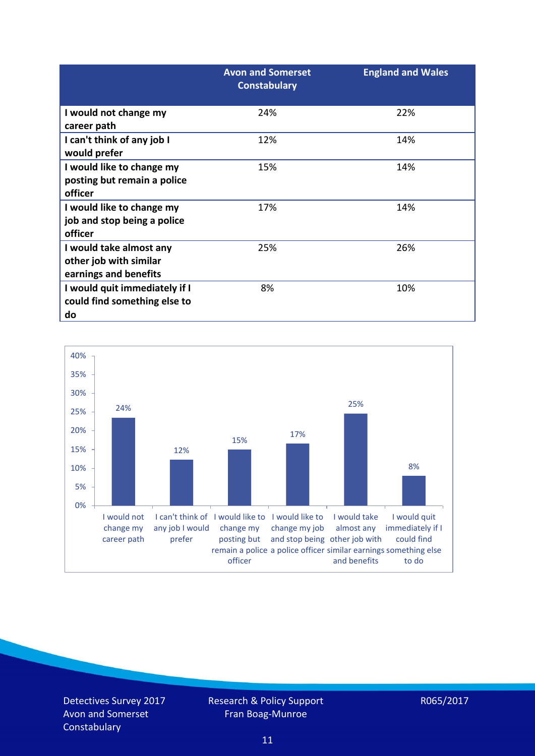|                                                                            | <b>Avon and Somerset</b><br><b>Constabulary</b> | <b>England and Wales</b> |
|----------------------------------------------------------------------------|-------------------------------------------------|--------------------------|
| I would not change my<br>career path                                       | 24%                                             | 22%                      |
| I can't think of any job I<br>would prefer                                 | 12%                                             | 14%                      |
| I would like to change my<br>posting but remain a police<br>officer        | 15%                                             | 14%                      |
| I would like to change my<br>job and stop being a police<br>officer        | 17%                                             | 14%                      |
| I would take almost any<br>other job with similar<br>earnings and benefits | 25%                                             | 26%                      |
| I would quit immediately if I<br>could find something else to<br>do        | 8%                                              | 10%                      |